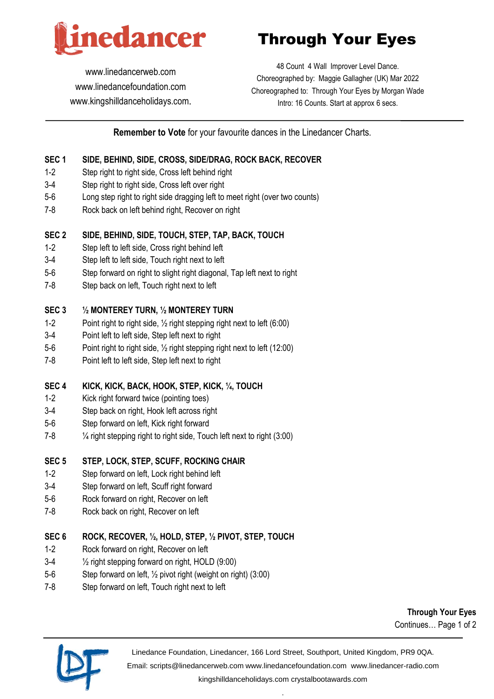

Through Your Eyes

[www.linedancerweb.com](http://www.linedancerweb.com/) [www.linedancefoundation.com](http://www.linedancerweb.com/)  [www.kingshilldanceholidays.com](http://www.kingshilldanceholidays.com/).

48 Count 4 Wall Improver Level Dance. Choreographed by: Maggie Gallagher (UK) Mar 2022 Choreographed to: Through Your Eyes by Morgan Wade Intro: 16 Counts. Start at approx 6 secs.

# **Remember to Vote** for your favourite dances in the Linedancer Charts.

#### **SEC 1 SIDE, BEHIND, SIDE, CROSS, SIDE/DRAG, ROCK BACK, RECOVER**

- 1-2 Step right to right side, Cross left behind right
- 3-4 Step right to right side, Cross left over right
- 5-6 Long step right to right side dragging left to meet right (over two counts)
- 7-8 Rock back on left behind right, Recover on right

#### **SEC 2 SIDE, BEHIND, SIDE, TOUCH, STEP, TAP, BACK, TOUCH**

- 1-2 Step left to left side, Cross right behind left
- 3-4 Step left to left side, Touch right next to left
- 5-6 Step forward on right to slight right diagonal, Tap left next to right
- 7-8 Step back on left, Touch right next to left

#### **SEC 3 ½ MONTEREY TURN, ½ MONTEREY TURN**

- 1-2 Point right to right side, ½ right stepping right next to left (6:00)
- 3-4 Point left to left side, Step left next to right
- 5-6 Point right to right side, ½ right stepping right next to left (12:00)
- 7-8 Point left to left side, Step left next to right

## **SEC 4 KICK, KICK, BACK, HOOK, STEP, KICK, ¼, TOUCH**

- 1-2 Kick right forward twice (pointing toes)
- 3-4 Step back on right, Hook left across right
- 5-6 Step forward on left, Kick right forward
- 7-8 ¼ right stepping right to right side, Touch left next to right (3:00)

## **SEC 5 STEP, LOCK, STEP, SCUFF, ROCKING CHAIR**

- 1-2 Step forward on left, Lock right behind left
- 3-4 Step forward on left, Scuff right forward
- 5-6 Rock forward on right, Recover on left
- 7-8 Rock back on right, Recover on left

## **SEC 6 ROCK, RECOVER, ½, HOLD, STEP, ½ PIVOT, STEP, TOUCH**

- 1-2 Rock forward on right, Recover on left
- 3-4 ½ right stepping forward on right, HOLD (9:00)
- 5-6 Step forward on left, ½ pivot right (weight on right) (3:00)
- 7-8 Step forward on left, Touch right next to left

**Through Your Eyes** Continues… Page 1 of 2



Linedance Foundation, Linedancer, 166 Lord Street, Southport, United Kingdom, PR9 0QA. Email: [scripts@linedancerweb.com](mailto:scripts@linedancerweb.com) [www.linedancefoundation.com](http://www.linedancefoundation.com/) [www.linedancer-radio.com](http://www.linedancer-radio.com/)

> [kingshilldanceholidays.com](http://kingshilldanceholidays.com/) [crystalbootawards.com](http://crystalbootawards.com/) .